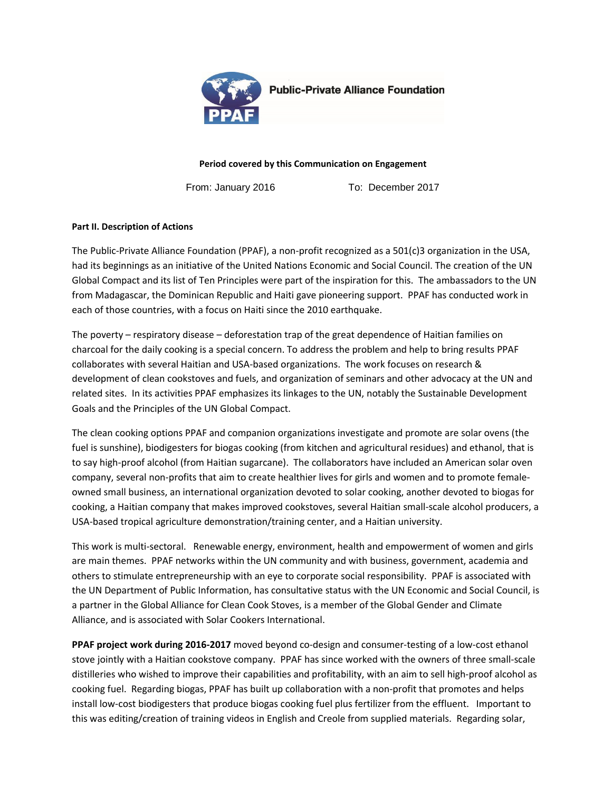

**Public-Private Alliance Foundation** 

**Period covered by this Communication on Engagement**

From: January 2016 To: December 2017

## **Part II. Description of Actions**

The Public-Private Alliance Foundation (PPAF), a non-profit recognized as a 501(c)3 organization in the USA, had its beginnings as an initiative of the United Nations Economic and Social Council. The creation of the UN Global Compact and its list of Ten Principles were part of the inspiration for this. The ambassadors to the UN from Madagascar, the Dominican Republic and Haiti gave pioneering support. PPAF has conducted work in each of those countries, with a focus on Haiti since the 2010 earthquake.

The poverty – respiratory disease – deforestation trap of the great dependence of Haitian families on charcoal for the daily cooking is a special concern. To address the problem and help to bring results PPAF collaborates with several Haitian and USA-based organizations. The work focuses on research & development of clean cookstoves and fuels, and organization of seminars and other advocacy at the UN and related sites. In its activities PPAF emphasizes its linkages to the UN, notably the Sustainable Development Goals and the Principles of the UN Global Compact.

The clean cooking options PPAF and companion organizations investigate and promote are solar ovens (the fuel is sunshine), biodigesters for biogas cooking (from kitchen and agricultural residues) and ethanol, that is to say high-proof alcohol (from Haitian sugarcane). The collaborators have included an American solar oven company, several non-profits that aim to create healthier lives for girls and women and to promote femaleowned small business, an international organization devoted to solar cooking, another devoted to biogas for cooking, a Haitian company that makes improved cookstoves, several Haitian small-scale alcohol producers, a USA-based tropical agriculture demonstration/training center, and a Haitian university.

This work is multi-sectoral. Renewable energy, environment, health and empowerment of women and girls are main themes. PPAF networks within the UN community and with business, government, academia and others to stimulate entrepreneurship with an eye to corporate social responsibility. PPAF is associated with the UN Department of Public Information, has consultative status with the UN Economic and Social Council, is a partner in the Global Alliance for Clean Cook Stoves, is a member of the Global Gender and Climate Alliance, and is associated with Solar Cookers International.

**PPAF project work during 2016-2017** moved beyond co-design and consumer-testing of a low-cost ethanol stove jointly with a Haitian cookstove company. PPAF has since worked with the owners of three small-scale distilleries who wished to improve their capabilities and profitability, with an aim to sell high-proof alcohol as cooking fuel. Regarding biogas, PPAF has built up collaboration with a non-profit that promotes and helps install low-cost biodigesters that produce biogas cooking fuel plus fertilizer from the effluent. Important to this was editing/creation of training videos in English and Creole from supplied materials. Regarding solar,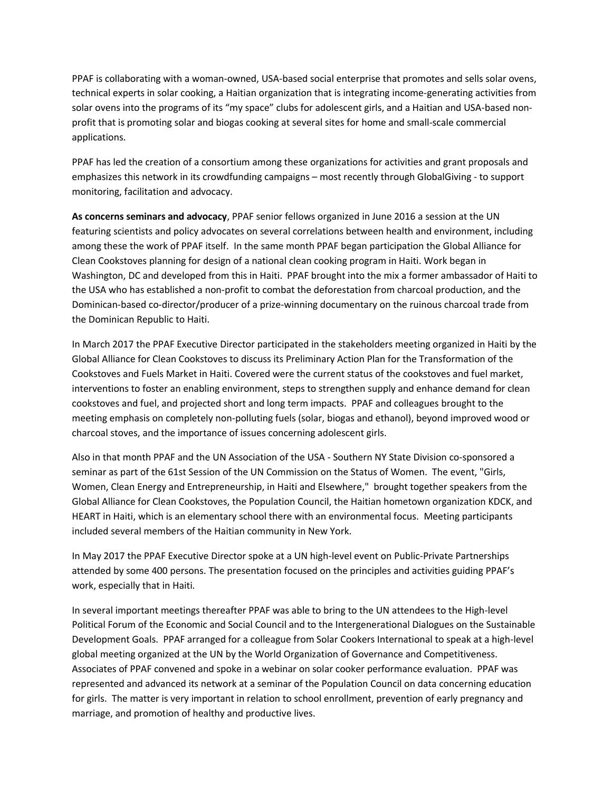PPAF is collaborating with a woman-owned, USA-based social enterprise that promotes and sells solar ovens, technical experts in solar cooking, a Haitian organization that is integrating income-generating activities from solar ovens into the programs of its "my space" clubs for adolescent girls, and a Haitian and USA-based nonprofit that is promoting solar and biogas cooking at several sites for home and small-scale commercial applications.

PPAF has led the creation of a consortium among these organizations for activities and grant proposals and emphasizes this network in its crowdfunding campaigns – most recently through GlobalGiving - to support monitoring, facilitation and advocacy.

**As concerns seminars and advocacy**, PPAF senior fellows organized in June 2016 a session at the UN featuring scientists and policy advocates on several correlations between health and environment, including among these the work of PPAF itself. In the same month PPAF began participation the Global Alliance for Clean Cookstoves planning for design of a national clean cooking program in Haiti. Work began in Washington, DC and developed from this in Haiti. PPAF brought into the mix a former ambassador of Haiti to the USA who has established a non-profit to combat the deforestation from charcoal production, and the Dominican-based co-director/producer of a prize-winning documentary on the ruinous charcoal trade from the Dominican Republic to Haiti.

In March 2017 the PPAF Executive Director participated in the stakeholders meeting organized in Haiti by the Global Alliance for Clean Cookstoves to discuss its Preliminary Action Plan for the Transformation of the Cookstoves and Fuels Market in Haiti. Covered were the current status of the cookstoves and fuel market, interventions to foster an enabling environment, steps to strengthen supply and enhance demand for clean cookstoves and fuel, and projected short and long term impacts. PPAF and colleagues brought to the meeting emphasis on completely non-polluting fuels (solar, biogas and ethanol), beyond improved wood or charcoal stoves, and the importance of issues concerning adolescent girls.

Also in that month PPAF and the UN Association of the USA - Southern NY State Division co-sponsored a seminar as part of the 61st Session of the UN Commission on the Status of Women. The event, "Girls, Women, Clean Energy and Entrepreneurship, in Haiti and Elsewhere," brought together speakers from the Global Alliance for Clean Cookstoves, the Population Council, the Haitian hometown organization KDCK, and HEART in Haiti, which is an elementary school there with an environmental focus. Meeting participants included several members of the Haitian community in New York.

In May 2017 the PPAF Executive Director spoke at a UN high-level event on Public-Private Partnerships attended by some 400 persons. The presentation focused on the principles and activities guiding PPAF's work, especially that in Haiti.

In several important meetings thereafter PPAF was able to bring to the UN attendees to the High-level Political Forum of the Economic and Social Council and to the Intergenerational Dialogues on the Sustainable Development Goals. PPAF arranged for a colleague from Solar Cookers International to speak at a high-level global meeting organized at the UN by the World Organization of Governance and Competitiveness. Associates of PPAF convened and spoke in a webinar on solar cooker performance evaluation. PPAF was represented and advanced its network at a seminar of the Population Council on data concerning education for girls. The matter is very important in relation to school enrollment, prevention of early pregnancy and marriage, and promotion of healthy and productive lives.